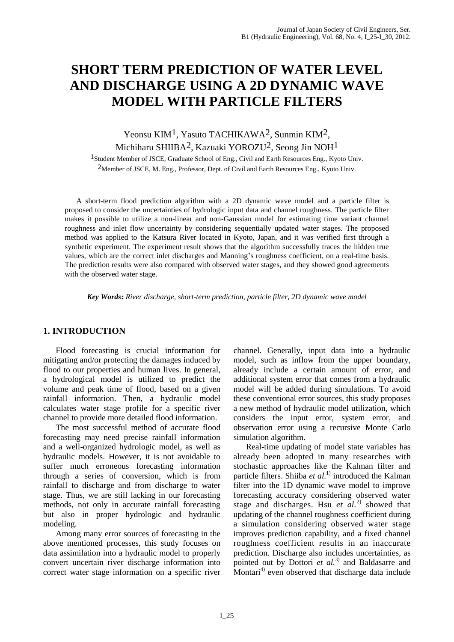# **SHORT TERM PREDICTION OF WATER LEVEL AND DISCHARGE USING A 2D DYNAMIC WAVE MODEL WITH PARTICLE FILTERS**

Yeonsu KIM1, Yasuto TACHIKAWA2, Sunmin KIM2, Michiharu SHIIBA<sup>2</sup>, Kazuaki YOROZU<sup>2</sup>, Seong Jin NOH<sup>1</sup>

1Student Member of JSCE, Graduate School of Eng., Civil and Earth Resources Eng., Kyoto Univ. 2Member of JSCE, M. Eng., Professor, Dept. of Civil and Earth Resources Eng., Kyoto Univ.

 A short-term flood prediction algorithm with a 2D dynamic wave model and a particle filter is proposed to consider the uncertainties of hydrologic input data and channel roughness. The particle filter makes it possible to utilize a non-linear and non-Gaussian model for estimating time variant channel roughness and inlet flow uncertainty by considering sequentially updated water stages. The proposed method was applied to the Katsura River located in Kyoto, Japan, and it was verified first through a synthetic experiment. The experiment result shows that the algorithm successfully traces the hidden true values, which are the correct inlet discharges and Manning's roughness coefficient, on a real-time basis. The prediction results were also compared with observed water stages, and they showed good agreements with the observed water stage.

*Key Words***:** *River discharge, short-term prediction, particle filter, 2D dynamic wave model*

# **1. INTRODUCTION**

 Flood forecasting is crucial information for mitigating and/or protecting the damages induced by flood to our properties and human lives. In general, a hydrological model is utilized to predict the volume and peak time of flood, based on a given rainfall information. Then, a hydraulic model calculates water stage profile for a specific river channel to provide more detailed flood information.

 The most successful method of accurate flood forecasting may need precise rainfall information and a well-organized hydrologic model, as well as hydraulic models. However, it is not avoidable to suffer much erroneous forecasting information through a series of conversion, which is from rainfall to discharge and from discharge to water stage. Thus, we are still lacking in our forecasting methods, not only in accurate rainfall forecasting but also in proper hydrologic and hydraulic modeling.

 Among many error sources of forecasting in the above mentioned processes, this study focuses on data assimilation into a hydraulic model to properly convert uncertain river discharge information into correct water stage information on a specific river

channel. Generally, input data into a hydraulic model, such as inflow from the upper boundary, already include a certain amount of error, and additional system error that comes from a hydraulic model will be added during simulations. To avoid these conventional error sources, this study proposes a new method of hydraulic model utilization, which considers the input error, system error, and observation error using a recursive Monte Carlo simulation algorithm.

 Real-time updating of model state variables has already been adopted in many researches with stochastic approaches like the Kalman filter and particle filters. Shiiba et al.<sup>1)</sup> introduced the Kalman filter into the 1D dynamic wave model to improve forecasting accuracy considering observed water stage and discharges. Hsu *et al.*2) showed that updating of the channel roughness coefficient during a simulation considering observed water stage improves prediction capability, and a fixed channel roughness coefficient results in an inaccurate prediction. Discharge also includes uncertainties, as pointed out by Dottori et al.<sup>3)</sup> and Baldasarre and Montari $^{4)}$  even observed that discharge data include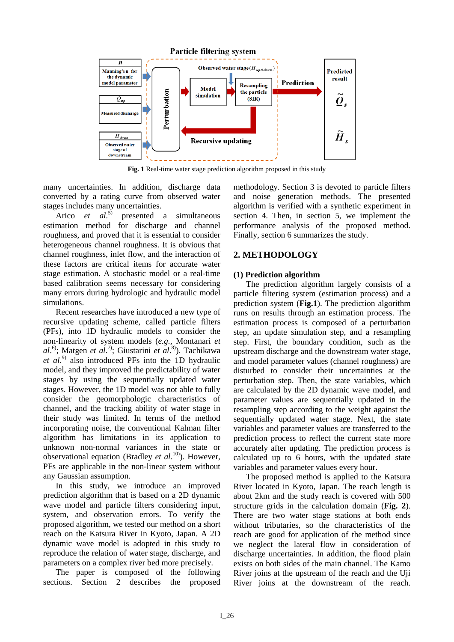

**Fig. 1** Real-time water stage prediction algorithm proposed in this study

many uncertainties. In addition, discharge data converted by a rating curve from observed water stages includes many uncertainties.

 Arico *et al.*5) presented a simultaneous estimation method for discharge and channel roughness, and proved that it is essential to consider heterogeneous channel roughness. It is obvious that channel roughness, inlet flow, and the interaction of these factors are critical items for accurate water stage estimation. A stochastic model or a real-time based calibration seems necessary for considering many errors during hydrologic and hydraulic model simulations.

 Recent researches have introduced a new type of recursive updating scheme, called particle filters (PFs), into 1D hydraulic models to consider the non-linearity of system models (*e.g.,* Montanari *et al*. 6) ; Matgen *et al*. 7) ; Giustarini *et al*. 8) ). Tachikawa *et al*. 9) also introduced PFs into the 1D hydraulic model, and they improved the predictability of water stages by using the sequentially updated water stages. However, the 1D model was not able to fully consider the geomorphologic characteristics of channel, and the tracking ability of water stage in their study was limited. In terms of the method incorporating noise, the conventional Kalman filter algorithm has limitations in its application to unknown non-normal variances in the state or observational equation (Bradley *et al.*<sup>10</sup>). However, PFs are applicable in the non-linear system without any Gaussian assumption.

 In this study, we introduce an improved prediction algorithm that is based on a 2D dynamic wave model and particle filters considering input, system, and observation errors. To verify the proposed algorithm, we tested our method on a short reach on the Katsura River in Kyoto, Japan. A 2D dynamic wave model is adopted in this study to reproduce the relation of water stage, discharge, and parameters on a complex river bed more precisely.

 The paper is composed of the following sections. Section 2 describes the proposed

methodology. Section 3 is devoted to particle filters and noise generation methods. The presented algorithm is verified with a synthetic experiment in section 4. Then, in section 5, we implement the performance analysis of the proposed method. Finally, section 6 summarizes the study.

# **2. METHODOLOGY**

## **(1) Prediction algorithm**

 The prediction algorithm largely consists of a particle filtering system (estimation process) and a prediction system (**Fig.1**). The prediction algorithm runs on results through an estimation process. The estimation process is composed of a perturbation step, an update simulation step, and a resampling step. First, the boundary condition, such as the upstream discharge and the downstream water stage, and model parameter values (channel roughness) are disturbed to consider their uncertainties at the perturbation step. Then, the state variables, which are calculated by the 2D dynamic wave model, and parameter values are sequentially updated in the resampling step according to the weight against the sequentially updated water stage. Next, the state variables and parameter values are transferred to the prediction process to reflect the current state more accurately after updating. The prediction process is calculated up to 6 hours, with the updated state variables and parameter values every hour.

 The proposed method is applied to the Katsura River located in Kyoto, Japan. The reach length is about 2km and the study reach is covered with 500 structure grids in the calculation domain (**Fig. 2**). There are two water stage stations at both ends without tributaries, so the characteristics of the reach are good for application of the method since we neglect the lateral flow in consideration of discharge uncertainties. In addition, the flood plain exists on both sides of the main channel. The Kamo River joins at the upstream of the reach and the Uji River joins at the downstream of the reach.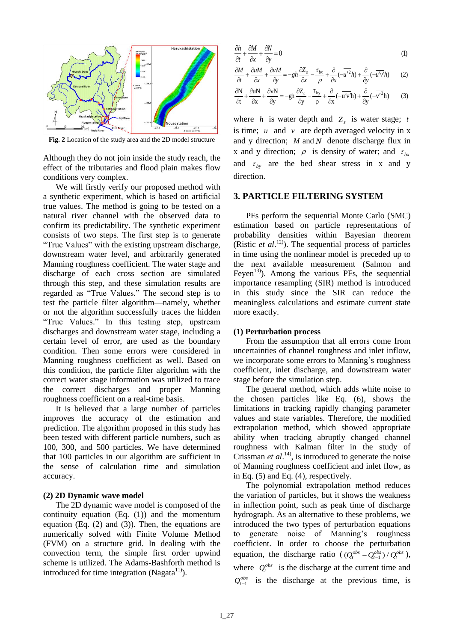

**Fig. 2** Location of the study area and the 2D model structure

Although they do not join inside the study reach, the effect of the tributaries and flood plain makes flow conditions very complex.

 We will firstly verify our proposed method with a synthetic experiment, which is based on artificial true values. The method is going to be tested on a natural river channel with the observed data to confirm its predictability. The synthetic experiment consists of two steps. The first step is to generate "True Values" with the existing upstream discharge, downstream water level, and arbitrarily generated Manning roughness coefficient. The water stage and discharge of each cross section are simulated through this step, and these simulation results are regarded as "True Values." The second step is to test the particle filter algorithm—namely, whether or not the algorithm successfully traces the hidden "True Values." In this testing step, upstream discharges and downstream water stage, including a certain level of error, are used as the boundary condition. Then some errors were considered in Manning roughness coefficient as well. Based on this condition, the particle filter algorithm with the correct water stage information was utilized to trace the correct discharges and proper Manning roughness coefficient on a real-time basis.

 It is believed that a large number of particles improves the accuracy of the estimation and prediction. The algorithm proposed in this study has been tested with different particle numbers, such as 100, 300, and 500 particles. We have determined that 100 particles in our algorithm are sufficient in the sense of calculation time and simulation accuracy.

#### **(2) 2D Dynamic wave model**

 The 2D dynamic wave model is composed of the continuity equation  $(Eq. (1))$  and the momentum equation (Eq. (2) and (3)). Then, the equations are numerically solved with Finite Volume Method (FVM) on a structure grid. In dealing with the convection term, the simple first order upwind scheme is utilized. The Adams-Bashforth method is introduced for time integration (Nagata $^{11}$ ).

$$
\frac{\partial h}{\partial t} + \frac{\partial M}{\partial x} + \frac{\partial N}{\partial y} = 0
$$
\n
$$
\frac{\partial M}{\partial t} + \frac{\partial u M}{\partial x} + \frac{\partial v M}{\partial y} = -gh \frac{\partial Z_s}{\partial x} - \frac{\tau_{bx}}{x} + \frac{\partial}{\partial x}(-\overline{u'^2}h) + \frac{\partial}{\partial y}(-\overline{u'^2}h) \tag{2}
$$

$$
\frac{\partial M}{\partial t} + \frac{\partial uM}{\partial x} + \frac{\partial vM}{\partial y} = -gh \frac{\partial Z_s}{\partial x} - \frac{\tau_{bx}}{\rho} + \frac{\partial}{\partial x}(-\overline{u'^2}h) + \frac{\partial}{\partial y}(-\overline{u'v'}h) \tag{2}
$$

$$
\frac{\partial N}{\partial t} + \frac{\partial u N}{\partial x} + \frac{\partial v N}{\partial y} = -gh \frac{\partial Z_s}{\partial y} - \frac{\tau_{by}}{\rho} + \frac{\partial}{\partial x} \left( -\overline{u'v'}h \right) + \frac{\partial}{\partial y} \left( -\overline{v'^2}h \right) \tag{3}
$$

where *h* is water depth and  $Z_s$  is water stage; *t* is time;  $u$  and  $v$  are depth averaged velocity in x and y direction; *M* and *N* denote discharge flux in x and y direction;  $\rho$  is density of water; and  $\tau_{bx}$ and  $\tau_{by}$  are the bed shear stress in x and y direction.

## **3. PARTICLE FILTERING SYSTEM**

 PFs perform the sequential Monte Carlo (SMC) estimation based on particle representations of probability densities within Bayesian theorem (Ristic *et al.*<sup>12</sup>). The sequential process of particles in time using the nonlinear model is preceded up to the next available measurement (Salmon and Feyen<sup>13</sup>). Among the various PFs, the sequential importance resampling (SIR) method is introduced in this study since the SIR can reduce the meaningless calculations and estimate current state more exactly.

#### **(1) Perturbation process**

 From the assumption that all errors come from uncertainties of channel roughness and inlet inflow, we incorporate some errors to Manning's roughness coefficient, inlet discharge, and downstream water stage before the simulation step.

 The general method, which adds white noise to the chosen particles like Eq. (6), shows the limitations in tracking rapidly changing parameter values and state variables. Therefore, the modified extrapolation method, which showed appropriate ability when tracking abruptly changed channel roughness with Kalman filter in the study of Crissman *et al.*<sup>14</sup>, is introduced to generate the noise of Manning roughness coefficient and inlet flow, as in Eq. (5) and Eq. (4), respectively.

 The polynomial extrapolation method reduces the variation of particles, but it shows the weakness in inflection point, such as peak time of discharge hydrograph. As an alternative to these problems, we introduced the two types of perturbation equations to generate noise of Manning's roughness coefficient. In order to choose the perturbation equation, the discharge ratio  $((Q_t^{obs} - Q_{t-1}^{obs}) / Q_t^{obs})$ , where  $Q_t^{obs}$  is the discharge at the current time and  $Q_{t-1}^{obs}$  is the discharge at the previous time, is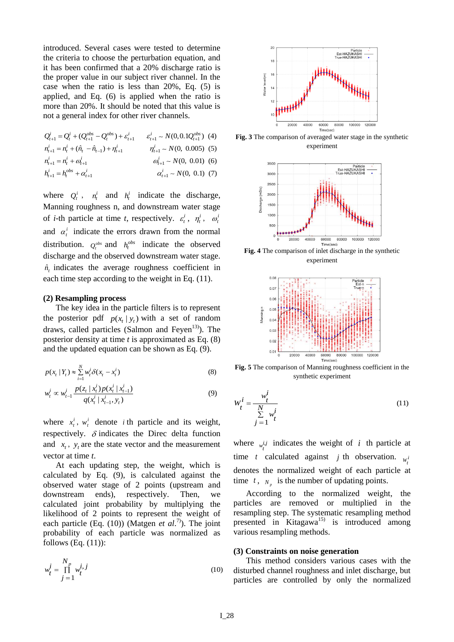introduced. Several cases were tested to determine the criteria to choose the perturbation equation, and it has been confirmed that a 20% discharge ratio is the proper value in our subject river channel. In the case when the ratio is less than 20%, Eq. (5) is applied, and Eq. (6) is applied when the ratio is more than 20%. It should be noted that this value is not a general index for other river channels.

$$
Q_{t+1}^i = Q_t^i + (Q_{t+1}^{obs} - Q_t^{obs}) + \varepsilon_{t+1}^i \qquad \varepsilon_{t+1}^i \sim N(0, 0.1Q_{t+1}^{obs}) \tag{4}
$$
\n
$$
n_{t+1}^i = n_t^i + (\hat{n}_t - \hat{n}_{t-1}) + \eta_{t+1}^i \qquad \eta_{t+1}^i \sim N(0, 0.005) \tag{5}
$$
\n
$$
n_{t+1}^i = n_t^i + \omega_{t+1}^i \qquad \omega_{t+1}^i \sim N(0, 0.01) \tag{6}
$$
\n
$$
h_{t+1}^i = h_t^{obs} + \alpha_{t+1}^i \qquad \alpha_{t+1}^i \sim N(0, 0.1) \tag{7}
$$

where  $Q_t^i$ ,  $n_t^i$  and  $h_t^i$  indicate the discharge, Manning roughness n, and downstream water stage of *i*-th particle at time *t*, respectively.  $\varepsilon_t^i$ ,  $\eta_t^i$ ,  $\omega_t^i$ and  $\alpha_i^i$  indicate the errors drawn from the normal distribution.  $Q_t^{obs}$  and  $h_t^{obs}$  indicate the observed discharge and the observed downstream water stage.  $\hat{n}_t$  indicates the average roughness coefficient in each time step according to the weight in Eq. (11).

#### **(2) Resampling process**

The key idea in the particle filters is to represent the posterior pdf  $p(x_t | y_t)$  with a set of random draws, called particles (Salmon and Feyen $^{13}$ ). The posterior density at time *t* is approximated as Eq. (8) and the updated equation can be shown as Eq. (9).

$$
p(x_t | Y_t) \approx \sum_{i=1}^{N} w_t^i \delta(x_t - x_t^i)
$$
\n
$$
w_t^i \propto w_{t-1}^i \frac{p(z_t | x_t^i) p(x_t^i | x_{t-1}^i)}{p(x_t^i | x_{t-1}^i)}
$$
\n(9)

$$
w_t^i \propto w_{t-1}^i \frac{p(z_t | x_t^i) p(x_t^i | x_{t-1}^i)}{q(x_t^i | x_{t-1}^i, y_t)}
$$
(9)

where  $x_i^i$ ,  $w_i^i$  denote *i* th particle and its weight, respectively.  $\delta$  indicates the Direc delta function and  $x_t$ ,  $y_t$  are the state vector and the measurement vector at time *t*.

 At each updating step, the weight, which is calculated by Eq. (9), is calculated against the observed water stage of 2 points (upstream and downstream ends), respectively. Then, we calculated joint probability by multiplying the likelihood of 2 points to represent the weight of each particle (Eq. (10)) (Matgen *et al*. 7) ). The joint probability of each particle was normalized as follows  $(Eq. (11))$ :

$$
w_t^i = \prod_{j=1}^{N_p} w_t^{i,j}
$$
 (10)



**Fig. 3** The comparison of averaged water stage in the synthetic experiment



**Fig. 4** The comparison of inlet discharge in the synthetic experiment



**Fig. 5** The comparison of Manning roughness coefficient in the synthetic experiment

$$
W_t^i = \frac{w_t^i}{\sum\limits_{j=1}^{N} w_t^i}
$$
 (11)

where  $\psi_i^{i,j}$  indicates the weight of *i* th particle at time *t* calculated against *j* th observation.  $w_t^i$ denotes the normalized weight of each particle at time  $t$ ,  $N_p$  is the number of updating points.

 According to the normalized weight, the particles are removed or multiplied in the resampling step. The systematic resampling method presented in Kitagawa<sup>15)</sup> is introduced among various resampling methods.

#### **(3) Constraints on noise generation**

 This method considers various cases with the disturbed channel roughness and inlet discharge, but particles are controlled by only the normalized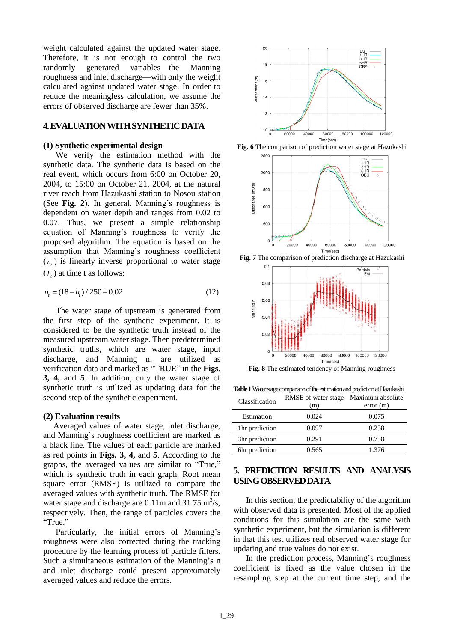weight calculated against the updated water stage. Therefore, it is not enough to control the two randomly generated variables—the Manning roughness and inlet discharge—with only the weight calculated against updated water stage. In order to reduce the meaningless calculation, we assume the errors of observed discharge are fewer than 35%.

# **4. EVALUATION WITH SYNTHETIC DATA**

### **(1) Synthetic experimental design**

 We verify the estimation method with the synthetic data. The synthetic data is based on the real event, which occurs from 6:00 on October 20, 2004, to 15:00 on October 21, 2004, at the natural river reach from Hazukashi station to Nosou station (See **Fig. 2**). In general, Manning's roughness is dependent on water depth and ranges from 0.02 to 0.07. Thus, we present a simple relationship equation of Manning's roughness to verify the proposed algorithm. The equation is based on the assumption that Manning's roughness coefficient  $(n<sub>t</sub>)$  is linearly inverse proportional to water stage  $(h<sub>t</sub>)$  at time t as follows:

$$
(h_t)
$$
 at time t as follows:  
 $n_t = (18 - h_t)/250 + 0.02$  (12)

The water stage of upstream is generated from the first step of the synthetic experiment. It is considered to be the synthetic truth instead of the measured upstream water stage. Then predetermined synthetic truths, which are water stage, input discharge, and Manning n, are utilized as verification data and marked as "TRUE" in the Figs. **3, 4,** and **5**. In addition, only the water stage of synthetic truth is utilized as updating data for the second step of the synthetic experiment.

#### **(2) Evaluation results**

 Averaged values of water stage, inlet discharge, and Manning's roughness coefficient are marked as a black line. The values of each particle are marked as red points in **Figs. 3, 4,** and **5**. According to the graphs, the averaged values are similar to "True," which is synthetic truth in each graph. Root mean square error (RMSE) is utilized to compare the averaged values with synthetic truth. The RMSE for water stage and discharge are 0.11m and 31.75 m<sup>3</sup>/s, respectively. Then, the range of particles covers the "True."

 Particularly, the initial errors of Manning's roughness were also corrected during the tracking procedure by the learning process of particle filters. Such a simultaneous estimation of the Manning's n and inlet discharge could present approximately averaged values and reduce the errors.



**Fig. 6** The comparison of prediction water stage at Hazukashi







**Fig. 8** The estimated tendency of Manning roughness

**Table 1** Water stage comparison of the estimation and prediction at Hazukashi

| Classification | RMSE of water stage Maximum absolute<br>(m) | error(m) |
|----------------|---------------------------------------------|----------|
| Estimation     | 0.024                                       | 0.075    |
| 1hr prediction | 0.097                                       | 0.258    |
| 3hr prediction | 0.291                                       | 0.758    |
| 6hr prediction | 0.565                                       | 1.376    |

# **5. PREDICTION RESULTS AND ANALYSIS USING OBSERVED DATA**

 In this section, the predictability of the algorithm with observed data is presented. Most of the applied conditions for this simulation are the same with synthetic experiment, but the simulation is different in that this test utilizes real observed water stage for updating and true values do not exist.

 In the prediction process, Manning's roughness coefficient is fixed as the value chosen in the resampling step at the current time step, and the